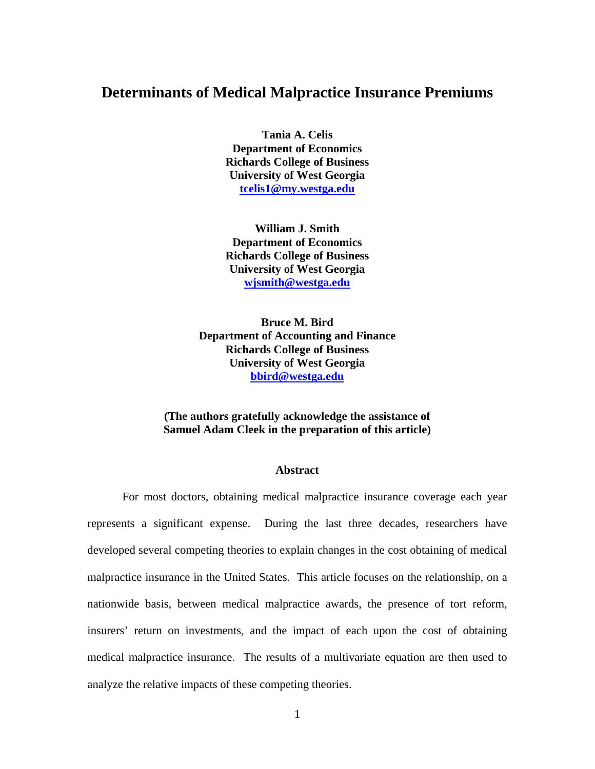# **Determinants of Medical Malpractice Insurance Premiums**

**Tania A. Celis Department of Economics Richards College of Business University of West Georgia tcelis1@my.westga.edu**

**William J. Smith Department of Economics Richards College of Business University of West Georgia wjsmith@westga.edu**

**Bruce M. Bird Department of Accounting and Finance Richards College of Business University of West Georgia bbird@westga.edu** 

### **(The authors gratefully acknowledge the assistance of Samuel Adam Cleek in the preparation of this article)**

#### **Abstract**

For most doctors, obtaining medical malpractice insurance coverage each year represents a significant expense. During the last three decades, researchers have developed several competing theories to explain changes in the cost obtaining of medical malpractice insurance in the United States. This article focuses on the relationship, on a nationwide basis, between medical malpractice awards, the presence of tort reform, insurers' return on investments, and the impact of each upon the cost of obtaining medical malpractice insurance. The results of a multivariate equation are then used to analyze the relative impacts of these competing theories.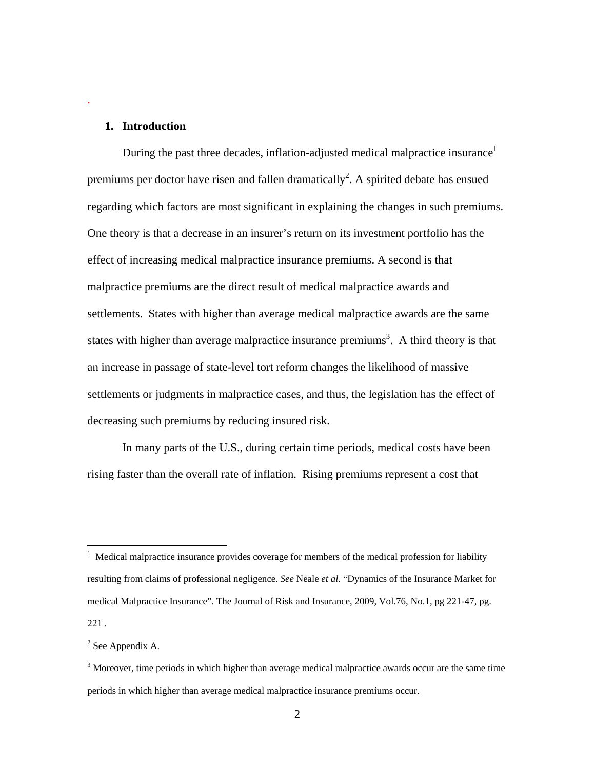#### **1. Introduction**

.

During the past three decades, inflation-adjusted medical malpractice insurance<sup>1</sup> premiums per doctor have risen and fallen dramatically<sup>2</sup>. A spirited debate has ensued regarding which factors are most significant in explaining the changes in such premiums. One theory is that a decrease in an insurer's return on its investment portfolio has the effect of increasing medical malpractice insurance premiums. A second is that malpractice premiums are the direct result of medical malpractice awards and settlements. States with higher than average medical malpractice awards are the same states with higher than average malpractice insurance premiums<sup>3</sup>. A third theory is that an increase in passage of state-level tort reform changes the likelihood of massive settlements or judgments in malpractice cases, and thus, the legislation has the effect of decreasing such premiums by reducing insured risk.

In many parts of the U.S., during certain time periods, medical costs have been rising faster than the overall rate of inflation. Rising premiums represent a cost that

 $2$  See Appendix A.

 $1$  Medical malpractice insurance provides coverage for members of the medical profession for liability resulting from claims of professional negligence. *See* Neale *et al*. "Dynamics of the Insurance Market for medical Malpractice Insurance". The Journal of Risk and Insurance, 2009, Vol.76, No.1, pg 221-47, pg. 221 .

 $3$  Moreover, time periods in which higher than average medical malpractice awards occur are the same time periods in which higher than average medical malpractice insurance premiums occur.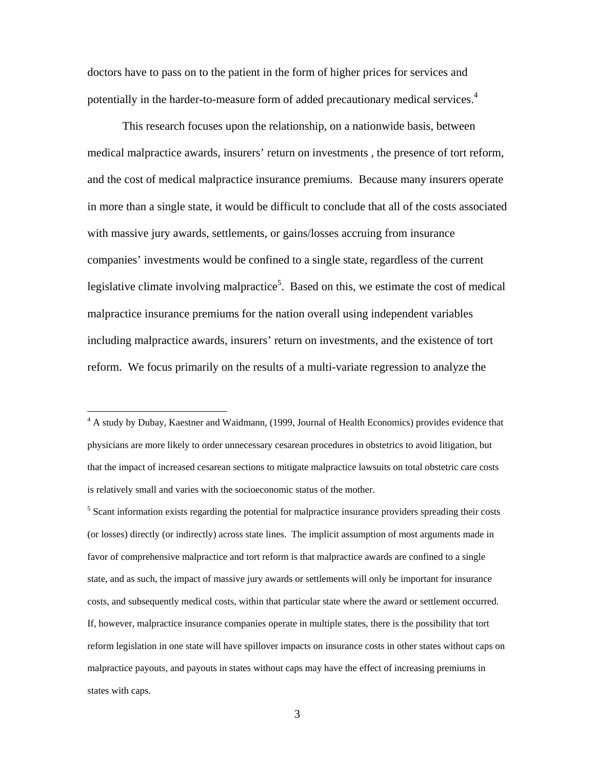doctors have to pass on to the patient in the form of higher prices for services and potentially in the harder-to-measure form of added precautionary medical services.<sup>4</sup>

This research focuses upon the relationship, on a nationwide basis, between medical malpractice awards, insurers' return on investments , the presence of tort reform, and the cost of medical malpractice insurance premiums. Because many insurers operate in more than a single state, it would be difficult to conclude that all of the costs associated with massive jury awards, settlements, or gains/losses accruing from insurance companies' investments would be confined to a single state, regardless of the current legislative climate involving malpractice<sup>5</sup>. Based on this, we estimate the cost of medical malpractice insurance premiums for the nation overall using independent variables including malpractice awards, insurers' return on investments, and the existence of tort reform. We focus primarily on the results of a multi-variate regression to analyze the

 $\overline{a}$ 

<sup>5</sup> Scant information exists regarding the potential for malpractice insurance providers spreading their costs (or losses) directly (or indirectly) across state lines. The implicit assumption of most arguments made in favor of comprehensive malpractice and tort reform is that malpractice awards are confined to a single state, and as such, the impact of massive jury awards or settlements will only be important for insurance costs, and subsequently medical costs, within that particular state where the award or settlement occurred. If, however, malpractice insurance companies operate in multiple states, there is the possibility that tort reform legislation in one state will have spillover impacts on insurance costs in other states without caps on malpractice payouts, and payouts in states without caps may have the effect of increasing premiums in states with caps.

3

<sup>&</sup>lt;sup>4</sup> A study by Dubay, Kaestner and Waidmann, (1999, Journal of Health Economics) provides evidence that physicians are more likely to order unnecessary cesarean procedures in obstetrics to avoid litigation, but that the impact of increased cesarean sections to mitigate malpractice lawsuits on total obstetric care costs is relatively small and varies with the socioeconomic status of the mother.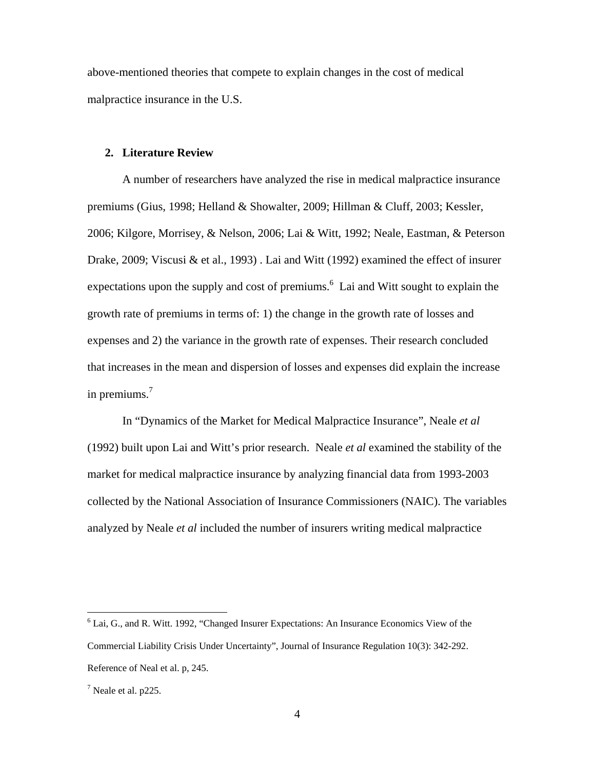above-mentioned theories that compete to explain changes in the cost of medical malpractice insurance in the U.S.

#### **2. Literature Review**

A number of researchers have analyzed the rise in medical malpractice insurance premiums (Gius, 1998; Helland & Showalter, 2009; Hillman & Cluff, 2003; Kessler, 2006; Kilgore, Morrisey, & Nelson, 2006; Lai & Witt, 1992; Neale, Eastman, & Peterson Drake, 2009; Viscusi & et al., 1993) . Lai and Witt (1992) examined the effect of insurer expectations upon the supply and cost of premiums. $<sup>6</sup>$  Lai and Witt sought to explain the</sup> growth rate of premiums in terms of: 1) the change in the growth rate of losses and expenses and 2) the variance in the growth rate of expenses. Their research concluded that increases in the mean and dispersion of losses and expenses did explain the increase in premiums. $<sup>7</sup>$ </sup>

In "Dynamics of the Market for Medical Malpractice Insurance", Neale *et al* (1992) built upon Lai and Witt's prior research. Neale *et al* examined the stability of the market for medical malpractice insurance by analyzing financial data from 1993-2003 collected by the National Association of Insurance Commissioners (NAIC). The variables analyzed by Neale *et al* included the number of insurers writing medical malpractice

 $6$  Lai, G., and R. Witt. 1992, "Changed Insurer Expectations: An Insurance Economics View of the Commercial Liability Crisis Under Uncertainty", Journal of Insurance Regulation 10(3): 342-292. Reference of Neal et al. p, 245.

 $<sup>7</sup>$  Neale et al. p225.</sup>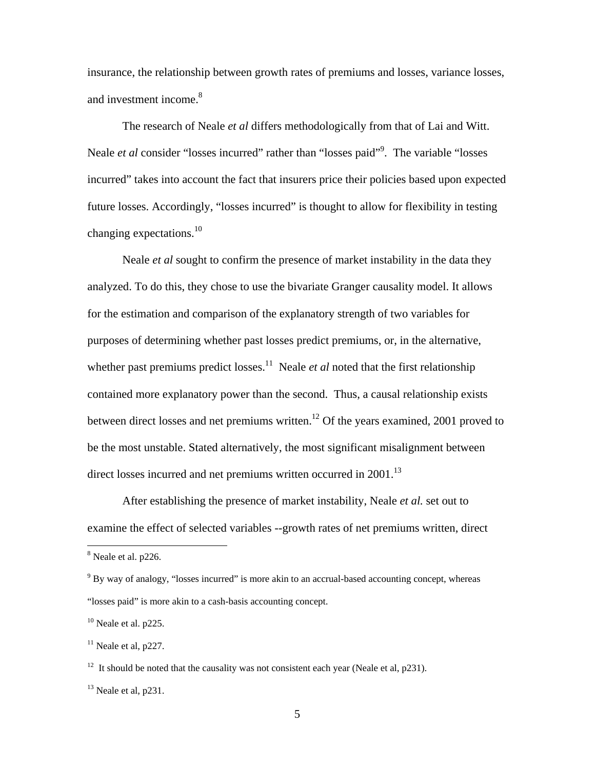insurance, the relationship between growth rates of premiums and losses, variance losses, and investment income.<sup>8</sup>

The research of Neale *et al* differs methodologically from that of Lai and Witt. Neale *et al* consider "losses incurred" rather than "losses paid"<sup>9</sup>. The variable "losses incurred" takes into account the fact that insurers price their policies based upon expected future losses. Accordingly, "losses incurred" is thought to allow for flexibility in testing changing expectations. $10$ 

Neale *et al* sought to confirm the presence of market instability in the data they analyzed. To do this, they chose to use the bivariate Granger causality model. It allows for the estimation and comparison of the explanatory strength of two variables for purposes of determining whether past losses predict premiums, or, in the alternative, whether past premiums predict losses.<sup>11</sup> Neale *et al* noted that the first relationship contained more explanatory power than the second. Thus, a causal relationship exists between direct losses and net premiums written.<sup>12</sup> Of the years examined, 2001 proved to be the most unstable. Stated alternatively, the most significant misalignment between direct losses incurred and net premiums written occurred in 2001.<sup>13</sup>

After establishing the presence of market instability, Neale *et al.* set out to examine the effect of selected variables --growth rates of net premiums written, direct

<u>.</u>

<sup>&</sup>lt;sup>8</sup> Neale et al. p226.

 $9^9$  By way of analogy, "losses incurred" is more akin to an accrual-based accounting concept, whereas "losses paid" is more akin to a cash-basis accounting concept.

 $10$  Neale et al. p225.

 $11$  Neale et al, p227.

<sup>&</sup>lt;sup>12</sup> It should be noted that the causality was not consistent each year (Neale et al, p231).

 $13$  Neale et al, p231.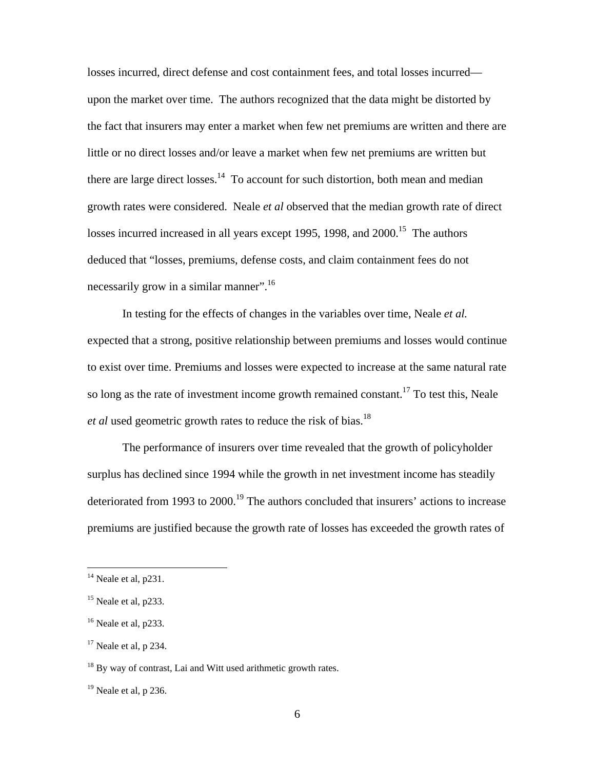losses incurred, direct defense and cost containment fees, and total losses incurred upon the market over time. The authors recognized that the data might be distorted by the fact that insurers may enter a market when few net premiums are written and there are little or no direct losses and/or leave a market when few net premiums are written but there are large direct losses.<sup>14</sup> To account for such distortion, both mean and median growth rates were considered. Neale *et al* observed that the median growth rate of direct losses incurred increased in all years except 1995, 1998, and 2000.<sup>15</sup> The authors deduced that "losses, premiums, defense costs, and claim containment fees do not necessarily grow in a similar manner".<sup>16</sup>

In testing for the effects of changes in the variables over time, Neale *et al.* expected that a strong, positive relationship between premiums and losses would continue to exist over time. Premiums and losses were expected to increase at the same natural rate so long as the rate of investment income growth remained constant.<sup>17</sup> To test this, Neale *et al* used geometric growth rates to reduce the risk of bias.<sup>18</sup>

The performance of insurers over time revealed that the growth of policyholder surplus has declined since 1994 while the growth in net investment income has steadily deteriorated from 1993 to 2000.<sup>19</sup> The authors concluded that insurers' actions to increase premiums are justified because the growth rate of losses has exceeded the growth rates of

 $14$  Neale et al, p231.

<sup>&</sup>lt;sup>15</sup> Neale et al, p233.

 $16$  Neale et al, p233.

 $17$  Neale et al, p 234.

<sup>&</sup>lt;sup>18</sup> By way of contrast, Lai and Witt used arithmetic growth rates.

 $19$  Neale et al, p 236.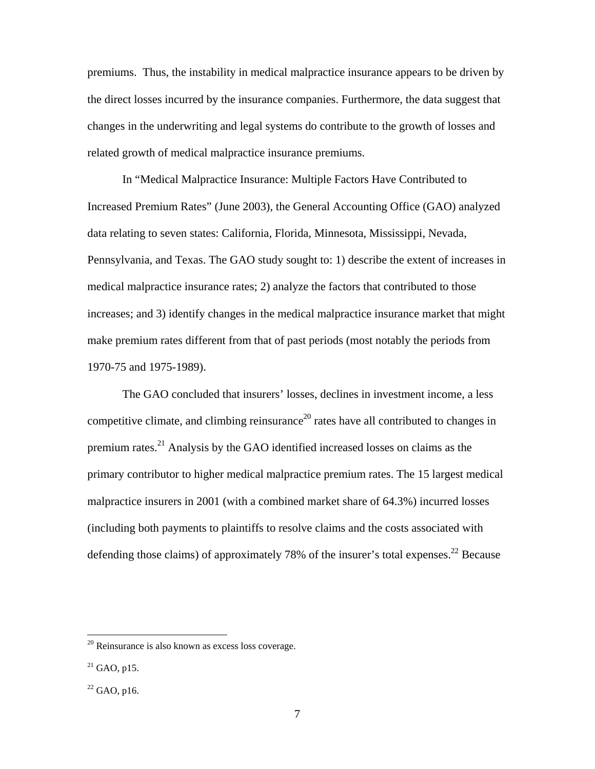premiums. Thus, the instability in medical malpractice insurance appears to be driven by the direct losses incurred by the insurance companies. Furthermore, the data suggest that changes in the underwriting and legal systems do contribute to the growth of losses and related growth of medical malpractice insurance premiums.

In "Medical Malpractice Insurance: Multiple Factors Have Contributed to Increased Premium Rates" (June 2003), the General Accounting Office (GAO) analyzed data relating to seven states: California, Florida, Minnesota, Mississippi, Nevada, Pennsylvania, and Texas. The GAO study sought to: 1) describe the extent of increases in medical malpractice insurance rates; 2) analyze the factors that contributed to those increases; and 3) identify changes in the medical malpractice insurance market that might make premium rates different from that of past periods (most notably the periods from 1970-75 and 1975-1989).

The GAO concluded that insurers' losses, declines in investment income, a less competitive climate, and climbing reinsurance<sup>20</sup> rates have all contributed to changes in premium rates.21 Analysis by the GAO identified increased losses on claims as the primary contributor to higher medical malpractice premium rates. The 15 largest medical malpractice insurers in 2001 (with a combined market share of 64.3%) incurred losses (including both payments to plaintiffs to resolve claims and the costs associated with defending those claims) of approximately 78% of the insurer's total expenses.<sup>22</sup> Because

 $20$  Reinsurance is also known as excess loss coverage.

 $21$  GAO, p15.

 $22$  GAO, p16.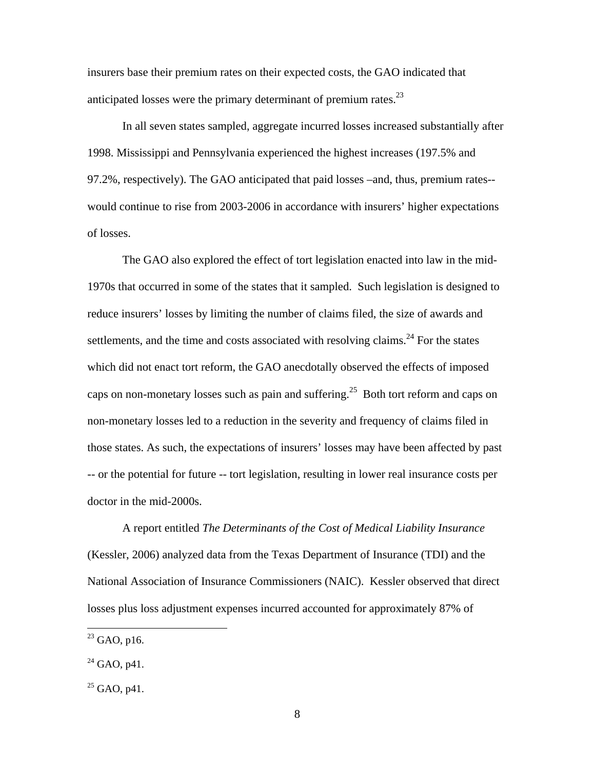insurers base their premium rates on their expected costs, the GAO indicated that anticipated losses were the primary determinant of premium rates. $^{23}$ 

In all seven states sampled, aggregate incurred losses increased substantially after 1998. Mississippi and Pennsylvania experienced the highest increases (197.5% and 97.2%, respectively). The GAO anticipated that paid losses –and, thus, premium rates- would continue to rise from 2003-2006 in accordance with insurers' higher expectations of losses.

The GAO also explored the effect of tort legislation enacted into law in the mid-1970s that occurred in some of the states that it sampled. Such legislation is designed to reduce insurers' losses by limiting the number of claims filed, the size of awards and settlements, and the time and costs associated with resolving claims.<sup>24</sup> For the states which did not enact tort reform, the GAO anecdotally observed the effects of imposed caps on non-monetary losses such as pain and suffering.<sup>25</sup> Both tort reform and caps on non-monetary losses led to a reduction in the severity and frequency of claims filed in those states. As such, the expectations of insurers' losses may have been affected by past -- or the potential for future -- tort legislation, resulting in lower real insurance costs per doctor in the mid-2000s.

A report entitled *The Determinants of the Cost of Medical Liability Insurance* (Kessler, 2006) analyzed data from the Texas Department of Insurance (TDI) and the National Association of Insurance Commissioners (NAIC). Kessler observed that direct losses plus loss adjustment expenses incurred accounted for approximately 87% of

 $^{23}$  GAO, p16.

 $^{24}$  GAO, p41.

 $25$  GAO, p41.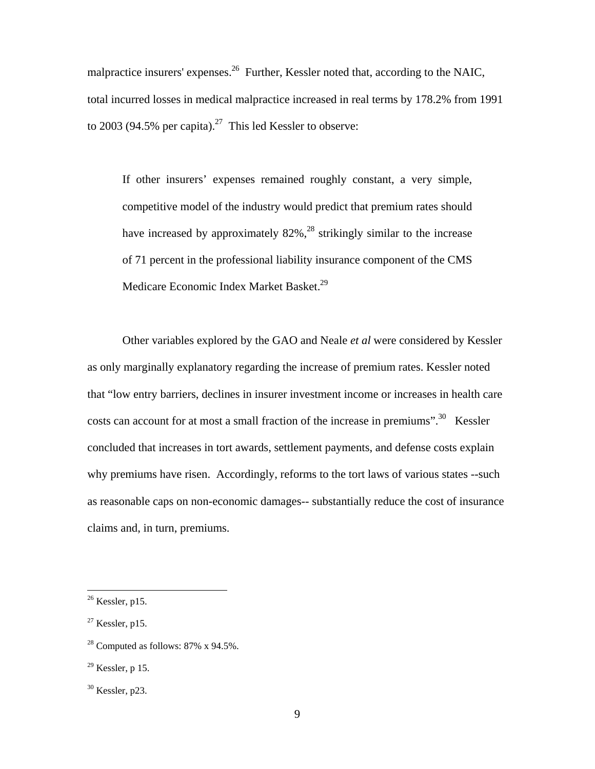malpractice insurers' expenses.<sup>26</sup> Further, Kessler noted that, according to the NAIC, total incurred losses in medical malpractice increased in real terms by 178.2% from 1991 to 2003 (94.5% per capita).<sup>27</sup> This led Kessler to observe:

If other insurers' expenses remained roughly constant, a very simple, competitive model of the industry would predict that premium rates should have increased by approximately  $82\%$ ,<sup>28</sup> strikingly similar to the increase of 71 percent in the professional liability insurance component of the CMS Medicare Economic Index Market Basket.<sup>29</sup>

Other variables explored by the GAO and Neale *et al* were considered by Kessler as only marginally explanatory regarding the increase of premium rates. Kessler noted that "low entry barriers, declines in insurer investment income or increases in health care costs can account for at most a small fraction of the increase in premiums".<sup>30</sup> Kessler concluded that increases in tort awards, settlement payments, and defense costs explain why premiums have risen. Accordingly, reforms to the tort laws of various states --such as reasonable caps on non-economic damages-- substantially reduce the cost of insurance claims and, in turn, premiums.

 $26$  Kessler, p15.

 $27$  Kessler, p15.

<sup>&</sup>lt;sup>28</sup> Computed as follows:  $87\%$  x  $94.5\%$ .

 $29$  Kessler, p 15.

 $30$  Kessler, p23.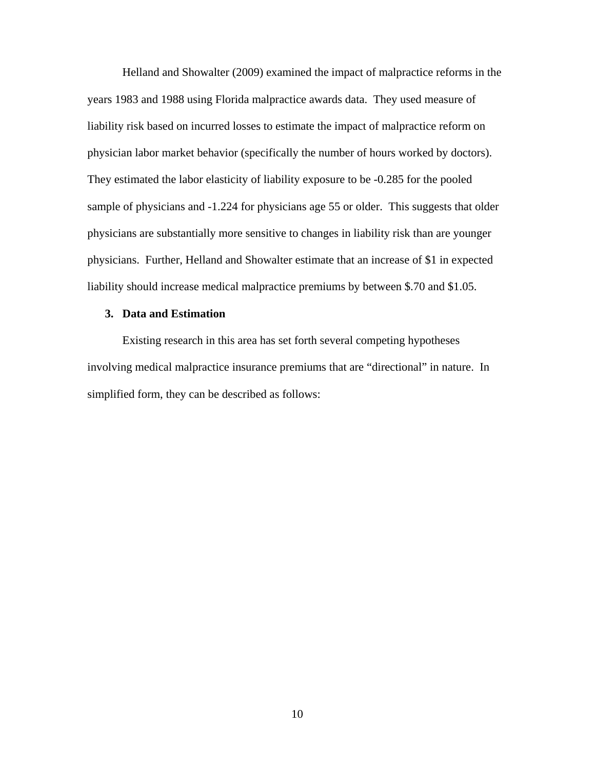Helland and Showalter (2009) examined the impact of malpractice reforms in the years 1983 and 1988 using Florida malpractice awards data. They used measure of liability risk based on incurred losses to estimate the impact of malpractice reform on physician labor market behavior (specifically the number of hours worked by doctors). They estimated the labor elasticity of liability exposure to be -0.285 for the pooled sample of physicians and  $-1.224$  for physicians age 55 or older. This suggests that older physicians are substantially more sensitive to changes in liability risk than are younger physicians. Further, Helland and Showalter estimate that an increase of \$1 in expected liability should increase medical malpractice premiums by between \$.70 and \$1.05.

#### **3. Data and Estimation**

Existing research in this area has set forth several competing hypotheses involving medical malpractice insurance premiums that are "directional" in nature. In simplified form, they can be described as follows: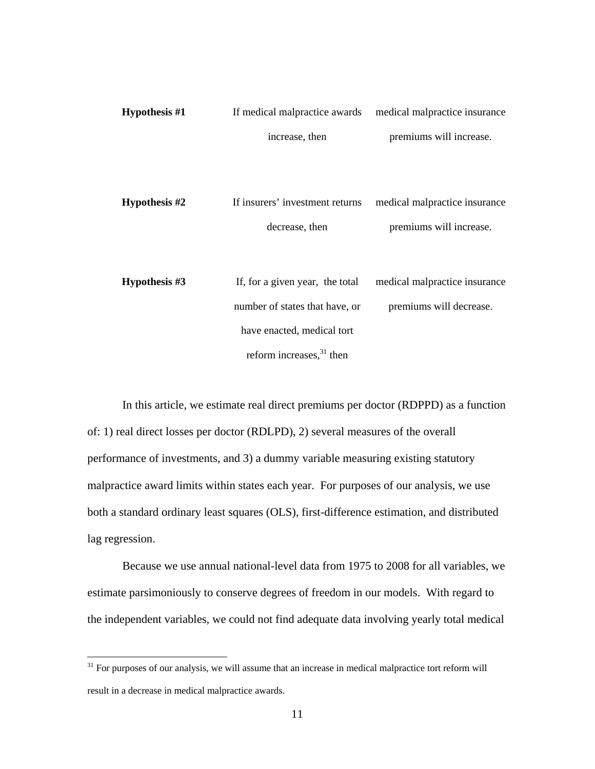| Hypothesis $#1$ | If medical malpractice awards   | medical malpractice insurance |
|-----------------|---------------------------------|-------------------------------|
|                 | increase, then                  | premiums will increase.       |
|                 |                                 |                               |
| Hypothesis $#2$ | If insurers' investment returns | medical malpractice insurance |
|                 | decrease, then                  | premiums will increase.       |
|                 |                                 |                               |
| Hypothesis #3   | If, for a given year, the total | medical malpractice insurance |
|                 | number of states that have, or  | premiums will decrease.       |
|                 | have enacted, medical tort      |                               |
|                 | reform increases, $31$ then     |                               |

In this article, we estimate real direct premiums per doctor (RDPPD) as a function of: 1) real direct losses per doctor (RDLPD), 2) several measures of the overall performance of investments, and 3) a dummy variable measuring existing statutory malpractice award limits within states each year. For purposes of our analysis, we use both a standard ordinary least squares (OLS), first-difference estimation, and distributed lag regression.

Because we use annual national-level data from 1975 to 2008 for all variables, we estimate parsimoniously to conserve degrees of freedom in our models. With regard to the independent variables, we could not find adequate data involving yearly total medical

 $31$  For purposes of our analysis, we will assume that an increase in medical malpractice tort reform will result in a decrease in medical malpractice awards.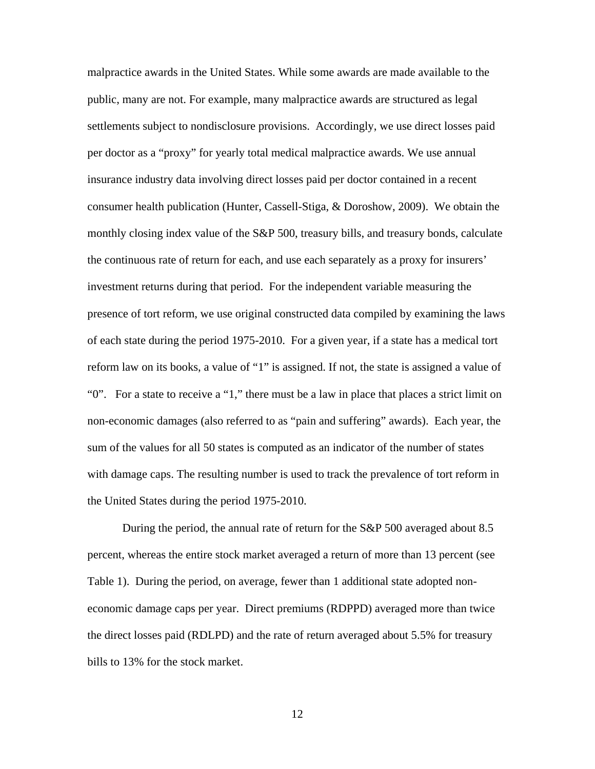malpractice awards in the United States. While some awards are made available to the public, many are not. For example, many malpractice awards are structured as legal settlements subject to nondisclosure provisions. Accordingly, we use direct losses paid per doctor as a "proxy" for yearly total medical malpractice awards. We use annual insurance industry data involving direct losses paid per doctor contained in a recent consumer health publication (Hunter, Cassell-Stiga, & Doroshow, 2009). We obtain the monthly closing index value of the S&P 500, treasury bills, and treasury bonds, calculate the continuous rate of return for each, and use each separately as a proxy for insurers' investment returns during that period. For the independent variable measuring the presence of tort reform, we use original constructed data compiled by examining the laws of each state during the period 1975-2010. For a given year, if a state has a medical tort reform law on its books, a value of "1" is assigned. If not, the state is assigned a value of "0". For a state to receive a "1," there must be a law in place that places a strict limit on non-economic damages (also referred to as "pain and suffering" awards). Each year, the sum of the values for all 50 states is computed as an indicator of the number of states with damage caps. The resulting number is used to track the prevalence of tort reform in the United States during the period 1975-2010.

During the period, the annual rate of return for the S&P 500 averaged about 8.5 percent, whereas the entire stock market averaged a return of more than 13 percent (see Table 1). During the period, on average, fewer than 1 additional state adopted noneconomic damage caps per year. Direct premiums (RDPPD) averaged more than twice the direct losses paid (RDLPD) and the rate of return averaged about 5.5% for treasury bills to 13% for the stock market.

12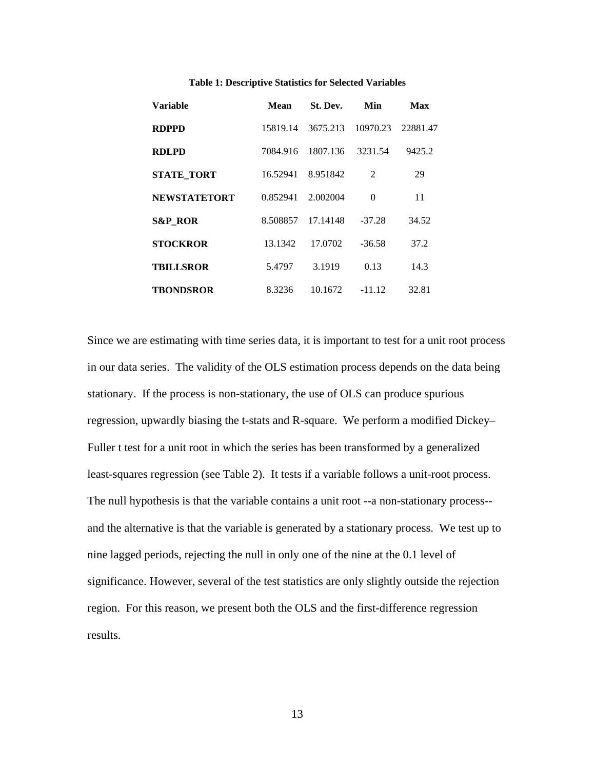| Variable            | Mean     | St. Dev. | Min            | Max      |
|---------------------|----------|----------|----------------|----------|
| <b>RDPPD</b>        | 15819.14 | 3675.213 | 10970.23       | 22881.47 |
| RDLPD               | 7084.916 | 1807.136 | 3231.54        | 9425.2   |
| <b>STATE TORT</b>   | 16.52941 | 8.951842 | $\mathfrak{D}$ | 29       |
| <b>NEWSTATETORT</b> | 0.852941 | 2.002004 | $\theta$       | 11       |
| <b>S&amp;P_ROR</b>  | 8.508857 | 17.14148 | $-37.28$       | 34.52    |
| <b>STOCKROR</b>     | 13.1342  | 17.0702  | $-36.58$       | 37.2     |
| <b>TBILLSROR</b>    | 5.4797   | 3.1919   | 0.13           | 14.3     |
| TBONDSROR           | 8.3236   | 10.1672  | $-11.12$       | 32.81    |

#### **Table 1: Descriptive Statistics for Selected Variables**

Since we are estimating with time series data, it is important to test for a unit root process in our data series. The validity of the OLS estimation process depends on the data being stationary. If the process is non-stationary, the use of OLS can produce spurious regression, upwardly biasing the t-stats and R-square. We perform a modified Dickey– Fuller t test for a unit root in which the series has been transformed by a generalized least-squares regression (see Table 2). It tests if a variable follows a unit-root process. The null hypothesis is that the variable contains a unit root --a non-stationary process- and the alternative is that the variable is generated by a stationary process. We test up to nine lagged periods, rejecting the null in only one of the nine at the 0.1 level of significance. However, several of the test statistics are only slightly outside the rejection region. For this reason, we present both the OLS and the first-difference regression results.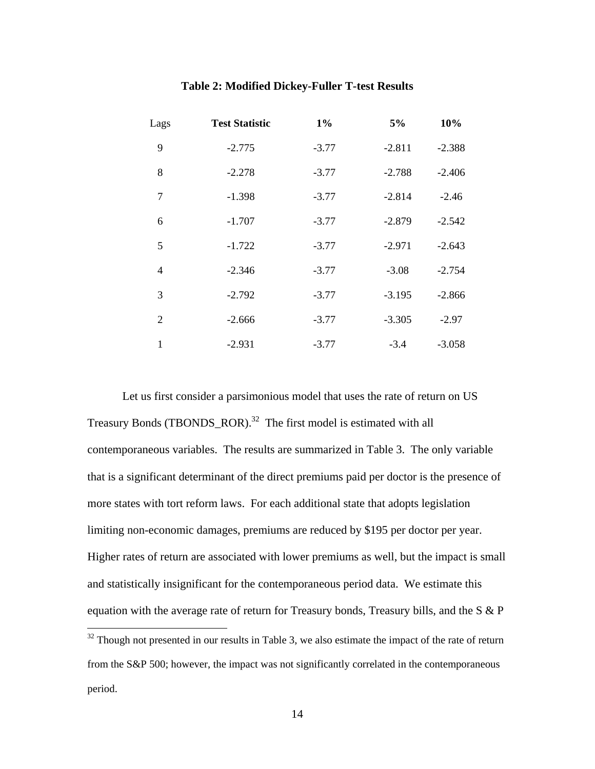| Lags           | <b>Test Statistic</b> | $1\%$   | 5%       | 10%      |
|----------------|-----------------------|---------|----------|----------|
| 9              | $-2.775$              | $-3.77$ | $-2.811$ | $-2.388$ |
| 8              | $-2.278$              | $-3.77$ | $-2.788$ | $-2.406$ |
| 7              | $-1.398$              | $-3.77$ | $-2.814$ | $-2.46$  |
| 6              | $-1.707$              | $-3.77$ | $-2.879$ | $-2.542$ |
| 5              | $-1.722$              | $-3.77$ | $-2.971$ | $-2.643$ |
| $\overline{4}$ | $-2.346$              | $-3.77$ | $-3.08$  | $-2.754$ |
| 3              | $-2.792$              | $-3.77$ | $-3.195$ | $-2.866$ |
| 2              | $-2.666$              | $-3.77$ | $-3.305$ | $-2.97$  |
| 1              | $-2.931$              | $-3.77$ | $-3.4$   | $-3.058$ |

#### **Table 2: Modified Dickey-Fuller T-test Results**

Let us first consider a parsimonious model that uses the rate of return on US Treasury Bonds (TBONDS ROR).<sup>32</sup> The first model is estimated with all contemporaneous variables. The results are summarized in Table 3. The only variable that is a significant determinant of the direct premiums paid per doctor is the presence of more states with tort reform laws. For each additional state that adopts legislation limiting non-economic damages, premiums are reduced by \$195 per doctor per year. Higher rates of return are associated with lower premiums as well, but the impact is small and statistically insignificant for the contemporaneous period data. We estimate this equation with the average rate of return for Treasury bonds, Treasury bills, and the S & P  $\overline{a}$ 

 $32$  Though not presented in our results in Table 3, we also estimate the impact of the rate of return from the S&P 500; however, the impact was not significantly correlated in the contemporaneous period.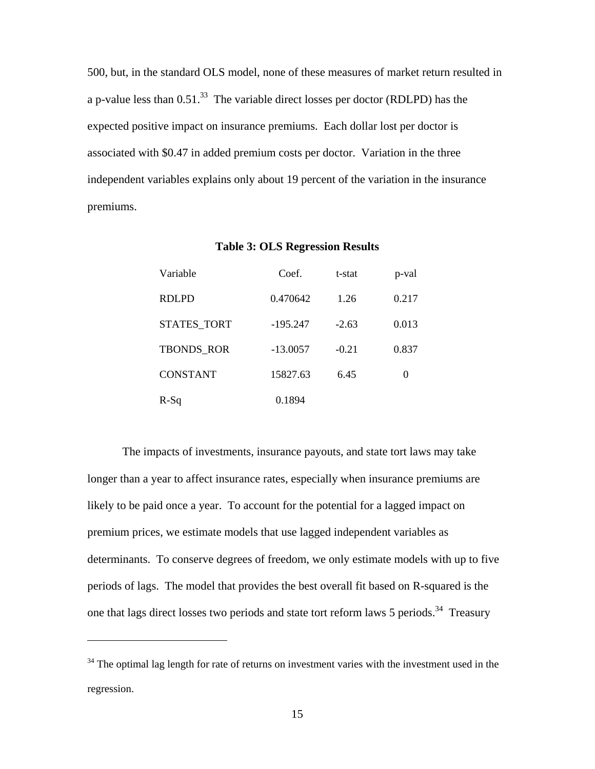500, but, in the standard OLS model, none of these measures of market return resulted in a p-value less than  $0.51<sup>33</sup>$ . The variable direct losses per doctor (RDLPD) has the expected positive impact on insurance premiums. Each dollar lost per doctor is associated with \$0.47 in added premium costs per doctor. Variation in the three independent variables explains only about 19 percent of the variation in the insurance premiums.

| Variable           | Coef.      | t-stat  | p-val |
|--------------------|------------|---------|-------|
| <b>RDLPD</b>       | 0.470642   | 1.26    | 0.217 |
| <b>STATES TORT</b> | $-195.247$ | $-2.63$ | 0.013 |
| <b>TBONDS_ROR</b>  | $-13.0057$ | $-0.21$ | 0.837 |
| <b>CONSTANT</b>    | 15827.63   | 6.45    | 0     |
| $R-Sq$             | 0.1894     |         |       |

**Table 3: OLS Regression Results** 

The impacts of investments, insurance payouts, and state tort laws may take longer than a year to affect insurance rates, especially when insurance premiums are likely to be paid once a year. To account for the potential for a lagged impact on premium prices, we estimate models that use lagged independent variables as determinants. To conserve degrees of freedom, we only estimate models with up to five periods of lags. The model that provides the best overall fit based on R-squared is the one that lags direct losses two periods and state tort reform laws 5 periods.<sup>34</sup> Treasury

 $34$  The optimal lag length for rate of returns on investment varies with the investment used in the regression.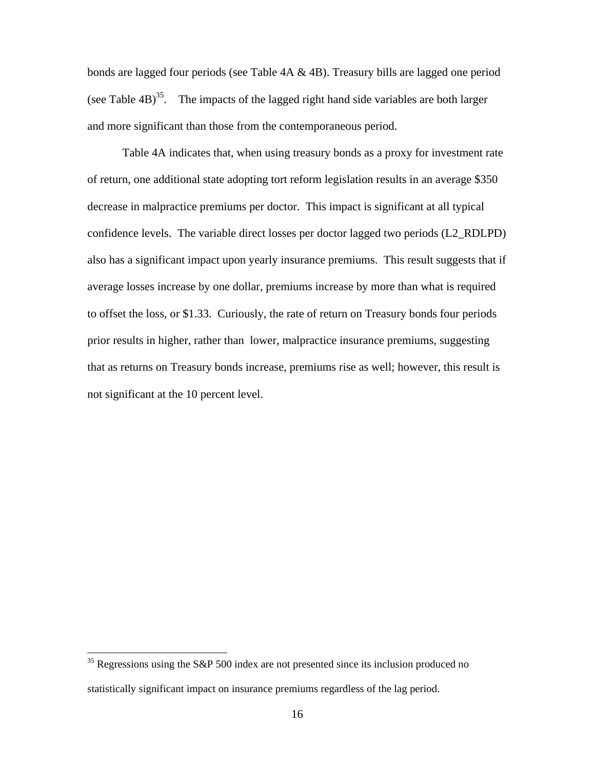bonds are lagged four periods (see Table 4A & 4B). Treasury bills are lagged one period (see Table  $4B$ )<sup>35</sup>. The impacts of the lagged right hand side variables are both larger and more significant than those from the contemporaneous period.

Table 4A indicates that, when using treasury bonds as a proxy for investment rate of return, one additional state adopting tort reform legislation results in an average \$350 decrease in malpractice premiums per doctor. This impact is significant at all typical confidence levels. The variable direct losses per doctor lagged two periods (L2\_RDLPD) also has a significant impact upon yearly insurance premiums. This result suggests that if average losses increase by one dollar, premiums increase by more than what is required to offset the loss, or \$1.33. Curiously, the rate of return on Treasury bonds four periods prior results in higher, rather than lower, malpractice insurance premiums, suggesting that as returns on Treasury bonds increase, premiums rise as well; however, this result is not significant at the 10 percent level.

<sup>&</sup>lt;sup>35</sup> Regressions using the S&P 500 index are not presented since its inclusion produced no statistically significant impact on insurance premiums regardless of the lag period.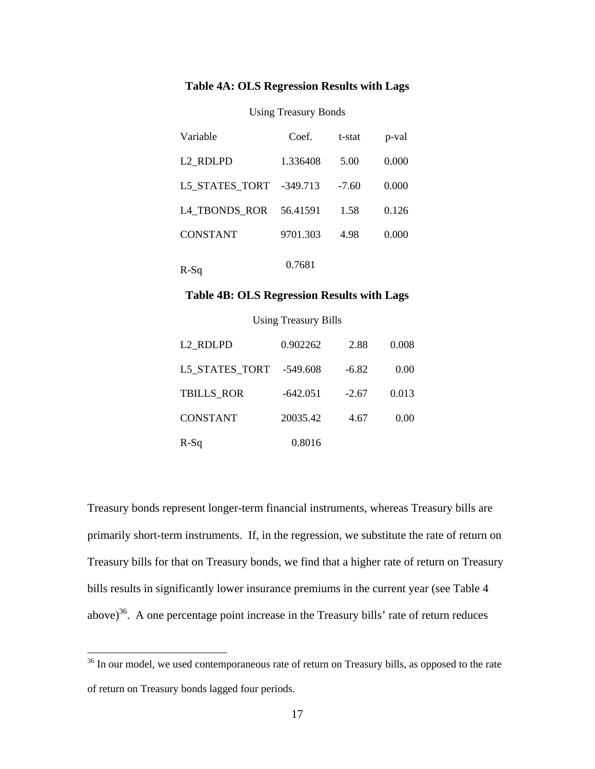### **Table 4A: OLS Regression Results with Lags**

### Using Treasury Bonds

| Variable             | Coef.      | t-stat  | p-val |
|----------------------|------------|---------|-------|
| L <sub>2</sub> RDLPD | 1.336408   | 5.00    | 0.000 |
| L5 STATES TORT       | $-349.713$ | $-7.60$ | 0.000 |
| L4 TBONDS ROR        | 56.41591   | 1.58    | 0.126 |
| <b>CONSTANT</b>      | 9701.303   | 4.98    | 0.000 |
| R-Sq                 | 0.7681     |         |       |

#### **Table 4B: OLS Regression Results with Lags**

Using Treasury Bills

| L <sub>2</sub> RDLPD    | 0.902262   | 2.88    | 0.008 |
|-------------------------|------------|---------|-------|
| L5_STATES_TORT -549.608 |            | $-6.82$ | 0.00  |
| <b>TBILLS ROR</b>       | $-642.051$ | $-2.67$ | 0.013 |
| <b>CONSTANT</b>         | 20035.42   | 4.67    | 0.00  |
| $R-Sq$                  | 0.8016     |         |       |

Treasury bonds represent longer-term financial instruments, whereas Treasury bills are primarily short-term instruments. If, in the regression, we substitute the rate of return on Treasury bills for that on Treasury bonds, we find that a higher rate of return on Treasury bills results in significantly lower insurance premiums in the current year (see Table 4 above) $36$ . A one percentage point increase in the Treasury bills' rate of return reduces

 $36$  In our model, we used contemporaneous rate of return on Treasury bills, as opposed to the rate of return on Treasury bonds lagged four periods.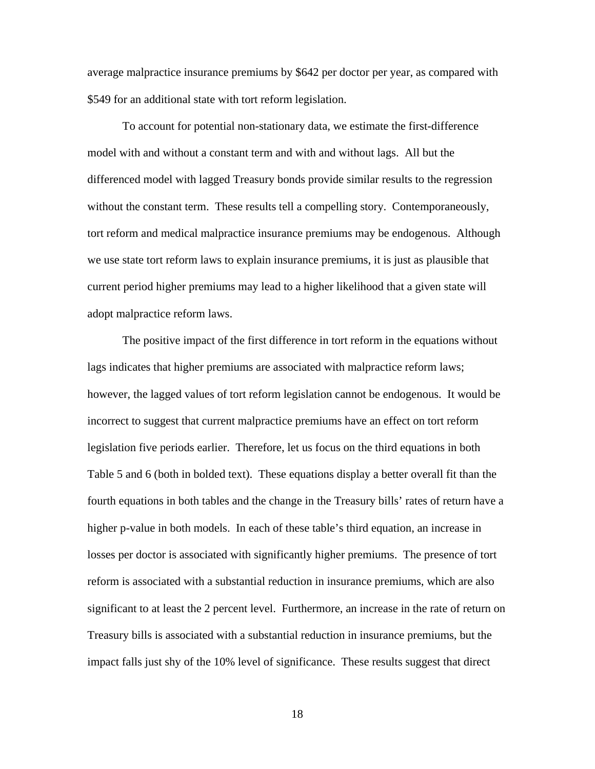average malpractice insurance premiums by \$642 per doctor per year, as compared with \$549 for an additional state with tort reform legislation.

To account for potential non-stationary data, we estimate the first-difference model with and without a constant term and with and without lags. All but the differenced model with lagged Treasury bonds provide similar results to the regression without the constant term. These results tell a compelling story. Contemporaneously, tort reform and medical malpractice insurance premiums may be endogenous. Although we use state tort reform laws to explain insurance premiums, it is just as plausible that current period higher premiums may lead to a higher likelihood that a given state will adopt malpractice reform laws.

The positive impact of the first difference in tort reform in the equations without lags indicates that higher premiums are associated with malpractice reform laws; however, the lagged values of tort reform legislation cannot be endogenous. It would be incorrect to suggest that current malpractice premiums have an effect on tort reform legislation five periods earlier. Therefore, let us focus on the third equations in both Table 5 and 6 (both in bolded text). These equations display a better overall fit than the fourth equations in both tables and the change in the Treasury bills' rates of return have a higher p-value in both models. In each of these table's third equation, an increase in losses per doctor is associated with significantly higher premiums. The presence of tort reform is associated with a substantial reduction in insurance premiums, which are also significant to at least the 2 percent level. Furthermore, an increase in the rate of return on Treasury bills is associated with a substantial reduction in insurance premiums, but the impact falls just shy of the 10% level of significance. These results suggest that direct

18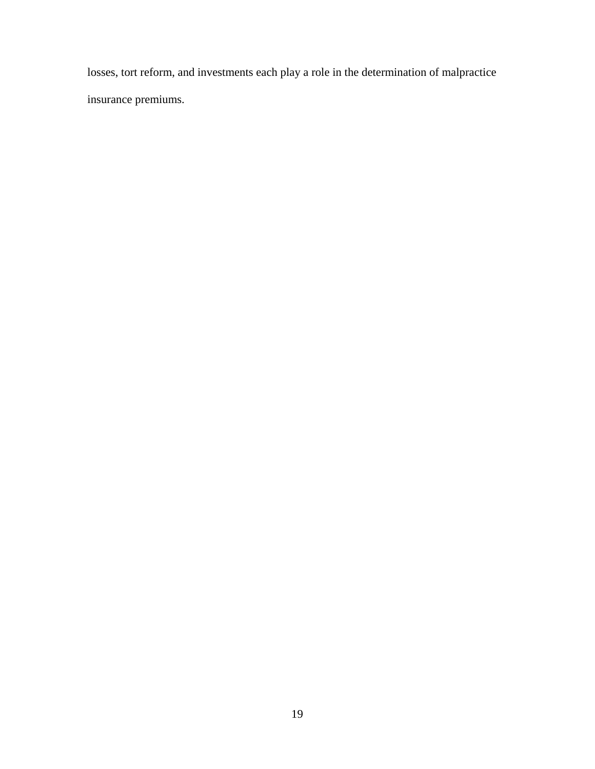losses, tort reform, and investments each play a role in the determination of malpractice insurance premiums.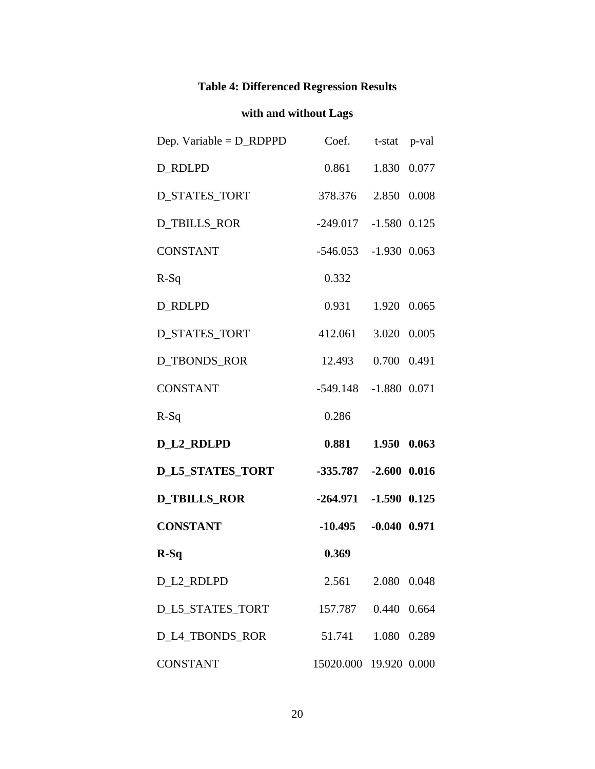# **Table 4: Differenced Regression Results**

# **with and without Lags**

| Dep. Variable = $D$ _RDPPD | Coef.                   | t-stat p-val  |       |  |
|----------------------------|-------------------------|---------------|-------|--|
| <b>D_RDLPD</b>             | 0.861                   | 1.830 0.077   |       |  |
| D_STATES_TORT              | 378.376 2.850 0.008     |               |       |  |
| <b>D_TBILLS_ROR</b>        | $-249.017 -1.580 0.125$ |               |       |  |
| <b>CONSTANT</b>            | $-546.053 -1.930$ 0.063 |               |       |  |
| $R-Sq$                     | 0.332                   |               |       |  |
| D_RDLPD                    | 0.931 1.920 0.065       |               |       |  |
| D_STATES_TORT              | 412.061 3.020 0.005     |               |       |  |
| D_TBONDS_ROR               | 12.493  0.700  0.491    |               |       |  |
| <b>CONSTANT</b>            | -549.148 -1.880 0.071   |               |       |  |
| $R-Sq$                     | 0.286                   |               |       |  |
| <b>D_L2_RDLPD</b>          | 0.881 1.950 0.063       |               |       |  |
| <b>D_L5_STATES_TORT</b>    | -335.787 -2.600 0.016   |               |       |  |
| <b>D_TBILLS_ROR</b>        | $-264.971 -1.590 0.125$ |               |       |  |
| <b>CONSTANT</b>            | $-10.495 - 0.040 0.971$ |               |       |  |
| $R-Sq$                     | 0.369                   |               |       |  |
| D L2 RDLPD                 | 2.561                   | 2.080         | 0.048 |  |
| D_L5_STATES_TORT           |                         | 157.787 0.440 | 0.664 |  |
|                            |                         |               |       |  |
| D_L4_TBONDS_ROR            | 51.741                  | 1.080         | 0.289 |  |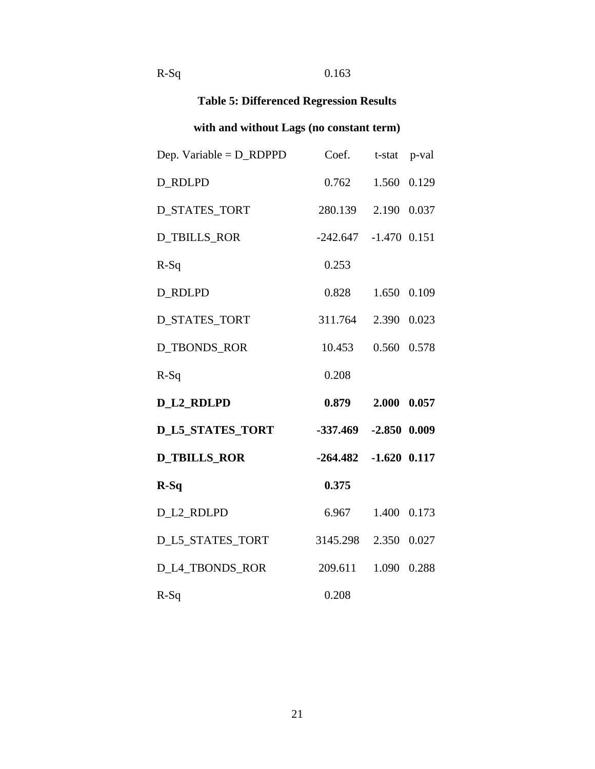# R-Sq 0.163

# **Table 5: Differenced Regression Results**

# **with and without Lags (no constant term)**

| Dep. Variable = $D$ _RDPPD | Coef.                     | t-stat p-val |  |
|----------------------------|---------------------------|--------------|--|
| <b>D_RDLPD</b>             | 0.762                     | 1.560 0.129  |  |
| <b>D_STATES_TORT</b>       | 280.139 2.190 0.037       |              |  |
| <b>D_TBILLS_ROR</b>        | $-242.647 -1.470$ 0.151   |              |  |
| $R-Sq$                     | 0.253                     |              |  |
| <b>D_RDLPD</b>             | 0.828                     | 1.650 0.109  |  |
| <b>D_STATES_TORT</b>       | 311.764 2.390 0.023       |              |  |
| <b>D_TBONDS_ROR</b>        | 10.453                    | 0.560 0.578  |  |
| $R-Sq$                     | 0.208                     |              |  |
| <b>D_L2_RDLPD</b>          | 0.879                     | 2.000 0.057  |  |
| <b>D_L5_STATES_TORT</b>    | $-337.469$ $-2.850$ 0.009 |              |  |
| <b>D_TBILLS_ROR</b>        | $-264.482$ $-1.620$ 0.117 |              |  |
| $R-Sq$                     | 0.375                     |              |  |
| D_L2_RDLPD                 | 6.967                     | 1.400 0.173  |  |
| D_L5_STATES_TORT           | 3145.298                  | 2.350 0.027  |  |
| D_L4_TBONDS_ROR            | 209.611                   | 1.090 0.288  |  |
| $R-Sq$                     | 0.208                     |              |  |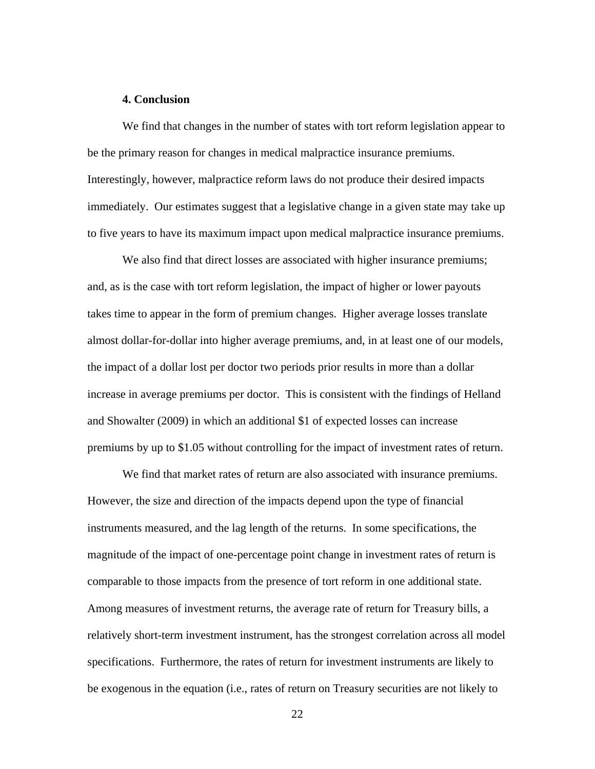#### **4. Conclusion**

We find that changes in the number of states with tort reform legislation appear to be the primary reason for changes in medical malpractice insurance premiums. Interestingly, however, malpractice reform laws do not produce their desired impacts immediately. Our estimates suggest that a legislative change in a given state may take up to five years to have its maximum impact upon medical malpractice insurance premiums.

We also find that direct losses are associated with higher insurance premiums; and, as is the case with tort reform legislation, the impact of higher or lower payouts takes time to appear in the form of premium changes. Higher average losses translate almost dollar-for-dollar into higher average premiums, and, in at least one of our models, the impact of a dollar lost per doctor two periods prior results in more than a dollar increase in average premiums per doctor. This is consistent with the findings of Helland and Showalter (2009) in which an additional \$1 of expected losses can increase premiums by up to \$1.05 without controlling for the impact of investment rates of return.

We find that market rates of return are also associated with insurance premiums. However, the size and direction of the impacts depend upon the type of financial instruments measured, and the lag length of the returns. In some specifications, the magnitude of the impact of one-percentage point change in investment rates of return is comparable to those impacts from the presence of tort reform in one additional state. Among measures of investment returns, the average rate of return for Treasury bills, a relatively short-term investment instrument, has the strongest correlation across all model specifications. Furthermore, the rates of return for investment instruments are likely to be exogenous in the equation (i.e., rates of return on Treasury securities are not likely to

22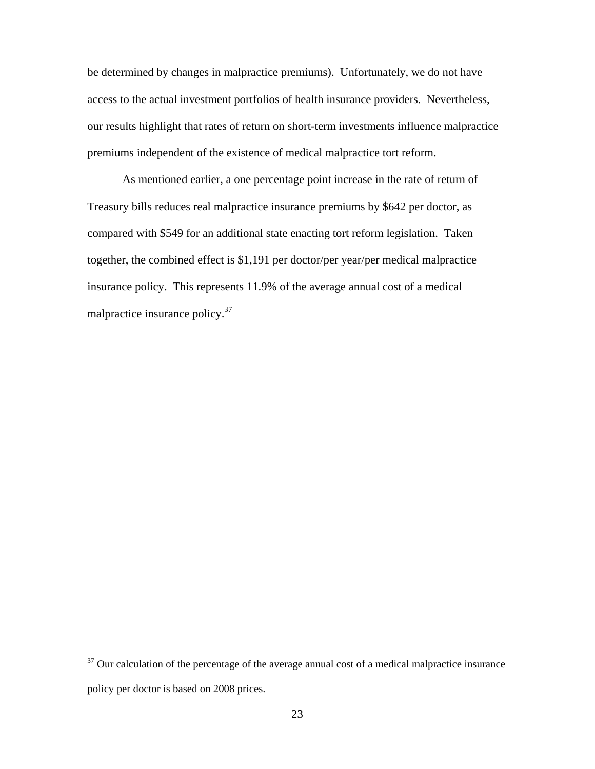be determined by changes in malpractice premiums). Unfortunately, we do not have access to the actual investment portfolios of health insurance providers. Nevertheless, our results highlight that rates of return on short-term investments influence malpractice premiums independent of the existence of medical malpractice tort reform.

As mentioned earlier, a one percentage point increase in the rate of return of Treasury bills reduces real malpractice insurance premiums by \$642 per doctor, as compared with \$549 for an additional state enacting tort reform legislation. Taken together, the combined effect is \$1,191 per doctor/per year/per medical malpractice insurance policy. This represents 11.9% of the average annual cost of a medical malpractice insurance policy.37

 $37$  Our calculation of the percentage of the average annual cost of a medical malpractice insurance policy per doctor is based on 2008 prices.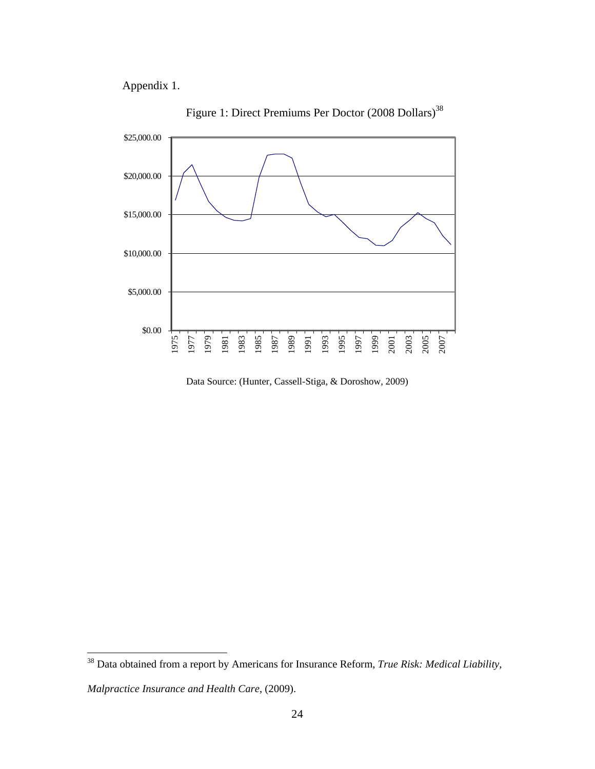Appendix 1.



Figure 1: Direct Premiums Per Doctor (2008 Dollars)<sup>38</sup>

Data Source: (Hunter, Cassell-Stiga, & Doroshow, 2009)

<sup>38</sup> Data obtained from a report by Americans for Insurance Reform, *True Risk: Medical Liability,* 

*Malpractice Insurance and Health Care*, (2009).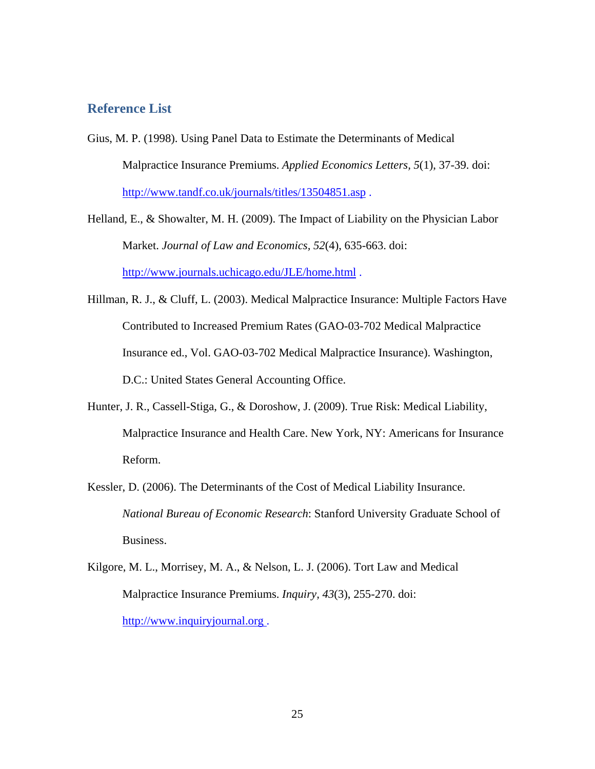## **Reference List**

- Gius, M. P. (1998). Using Panel Data to Estimate the Determinants of Medical Malpractice Insurance Premiums. *Applied Economics Letters, 5*(1), 37-39. doi: http://www.tandf.co.uk/journals/titles/13504851.asp.
- Helland, E., & Showalter, M. H. (2009). The Impact of Liability on the Physician Labor Market. *Journal of Law and Economics, 52*(4), 635-663. doi: http://www.journals.uchicago.edu/JLE/home.html .
- Hillman, R. J., & Cluff, L. (2003). Medical Malpractice Insurance: Multiple Factors Have Contributed to Increased Premium Rates (GAO-03-702 Medical Malpractice Insurance ed., Vol. GAO-03-702 Medical Malpractice Insurance). Washington, D.C.: United States General Accounting Office.
- Hunter, J. R., Cassell-Stiga, G., & Doroshow, J. (2009). True Risk: Medical Liability, Malpractice Insurance and Health Care. New York, NY: Americans for Insurance Reform.
- Kessler, D. (2006). The Determinants of the Cost of Medical Liability Insurance. *National Bureau of Economic Research*: Stanford University Graduate School of Business.
- Kilgore, M. L., Morrisey, M. A., & Nelson, L. J. (2006). Tort Law and Medical Malpractice Insurance Premiums. *Inquiry, 43*(3), 255-270. doi: http://www.inquiryjournal.org .